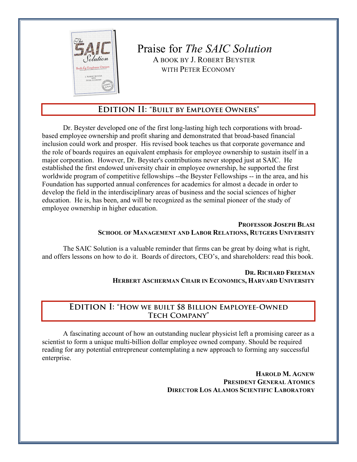

 Praise for *The SAIC Solution* $\delta$ *dution*  $\parallel$  A BOOK BY J. ROBERT BEYSTER WITH PETER ECONOMY

# **Edition II: "Built by Employee Owners"**

Dr. Beyster developed one of the first long-lasting high tech corporations with broadbased employee ownership and profit sharing and demonstrated that broad-based financial inclusion could work and prosper. His revised book teaches us that corporate governance and the role of boards requires an equivalent emphasis for employee ownership to sustain itself in a major corporation. However, Dr. Beyster's contributions never stopped just at SAIC. He established the first endowed university chair in employee ownership, he supported the first worldwide program of competitive fellowships --the Beyster Fellowships -- in the area, and his Foundation has supported annual conferences for academics for almost a decade in order to develop the field in the interdisciplinary areas of business and the social sciences of higher education. He is, has been, and will be recognized as the seminal pioneer of the study of employee ownership in higher education.

#### **PROFESSOR JOSEPH BLASI SCHOOL OF MANAGEMENT AND LABOR RELATIONS, RUTGERS UNIVERSITY**

The SAIC Solution is a valuable reminder that firms can be great by doing what is right, and offers lessons on how to do it. Boards of directors, CEO's, and shareholders: read this book.

> **DR. RICHARD FREEMAN HERBERT ASCHERMAN CHAIR IN ECONOMICS, HARVARD UNIVERSITY**

# **Edition I: "How we built \$8 Billion Employee-Owned Tech Company"**

A fascinating account of how an outstanding nuclear physicist left a promising career as a scientist to form a unique multi-billion dollar employee owned company. Should be required reading for any potential entrepreneur contemplating a new approach to forming any successful enterprise.

> **HAROLD M. AGNEW PRESIDENT GENERAL ATOMICS DIRECTOR LOS ALAMOS SCIENTIFIC LABORATORY**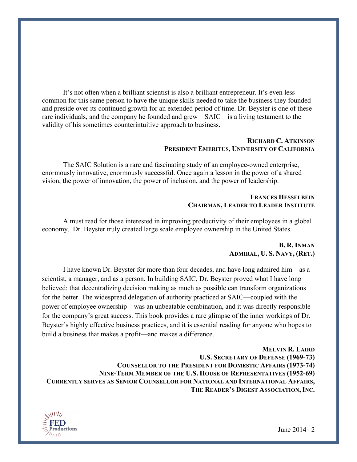It's not often when a brilliant scientist is also a brilliant entrepreneur. It's even less common for this same person to have the unique skills needed to take the business they founded and preside over its continued growth for an extended period of time. Dr. Beyster is one of these rare individuals, and the company he founded and grew—SAIC—is a living testament to the validity of his sometimes counterintuitive approach to business.

#### **RICHARD C. ATKINSON PRESIDENT EMERITUS, UNIVERSITY OF CALIFORNIA**

The SAIC Solution is a rare and fascinating study of an employee-owned enterprise, enormously innovative, enormously successful. Once again a lesson in the power of a shared vision, the power of innovation, the power of inclusion, and the power of leadership.

### **FRANCES HESSELBEIN CHAIRMAN, LEADER TO LEADER INSTITUTE**

A must read for those interested in improving productivity of their employees in a global economy. Dr. Beyster truly created large scale employee ownership in the United States.

#### **B. R. INMAN ADMIRAL, U. S. NAVY, (RET.)**

I have known Dr. Beyster for more than four decades, and have long admired him—as a scientist, a manager, and as a person. In building SAIC, Dr. Beyster proved what I have long believed: that decentralizing decision making as much as possible can transform organizations for the better. The widespread delegation of authority practiced at SAIC—coupled with the power of employee ownership—was an unbeatable combination, and it was directly responsible for the company's great success. This book provides a rare glimpse of the inner workings of Dr. Beyster's highly effective business practices, and it is essential reading for anyone who hopes to build a business that makes a profit—and makes a difference.

**MELVIN R. LAIRD U.S. SECRETARY OF DEFENSE (1969-73) COUNSELLOR TO THE PRESIDENT FOR DOMESTIC AFFAIRS (1973-74) NINE-TERM MEMBER OF THE U.S. HOUSE OF REPRESENTATIVES (1952-69) CURRENTLY SERVES AS SENIOR COUNSELLOR FOR NATIONAL AND INTERNATIONAL AFFAIRS, THE READER'S DIGEST ASSOCIATION, INC.**